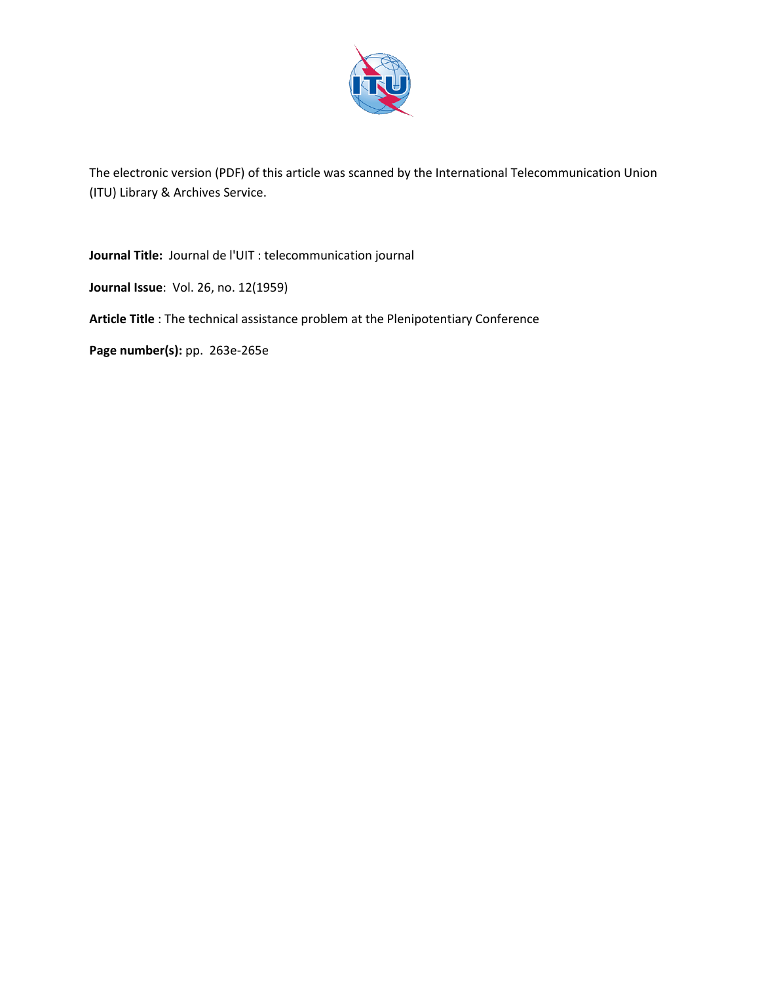

The electronic version (PDF) of this article was scanned by the International Telecommunication Union (ITU) Library & Archives Service.

**Journal Title:** Journal de l'UIT : telecommunication journal

**Journal Issue**: Vol. 26, no. 12(1959)

**Article Title** : The technical assistance problem at the Plenipotentiary Conference

**Page number(s):** pp. 263e-265e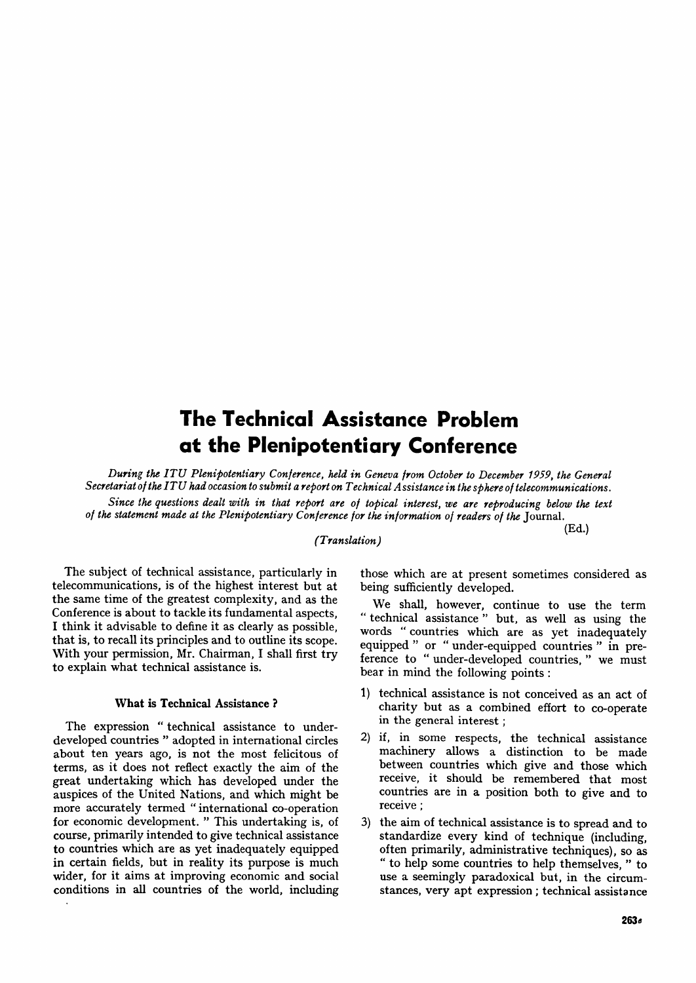# **The Technical Assistance Problem at the Plenipotentiary Conference**

*During the ITU Plenipotentiary Conference, held in Geneva from October to December 1959, the General Secretariat of the ITU had occasion to submit a report on Technical Assistance in the sphere of telecommunications.* 

*Since the questions dealt with in that report are of topical interest, we are reproducing below the text of the statement made at the Plenipotentiary Conference for the information of readers of the* Journal.

### *(Translation)*

(Ed.)

The subject of technical assistance, particularly in telecommunications, is of the highest interest but at the same time of the greatest complexity, and as the Conference is about to tackle its fundamental aspects, I think it advisable to define it as clearly as possible, that is, to recall its principles and to outline its scope. With your permission, Mr. Chairman, I shall first try to explain what technical assistance is.

#### **What is Technical Assistance ?**

The expression " technical assistance to underdeveloped countries " adopted in international circles about ten years ago, is not the most felicitous of terms, as it does not reflect exactly the aim of the great undertaking which has developed under the auspices of the United Nations, and which might be more accurately termed " international co-operation for economic development. " This undertaking is, of course, primarily intended to give technical assistance to countries which are as yet inadequately equipped in certain fields, but in reality its purpose is much wider, for it aims at improving economic and social conditions in all countries of the world, including those which are at present sometimes considered as being sufficiently developed.

We shall, however, continue to use the term " technical assistance " but, as well as using the words " countries which are as yet inadequately equipped " or " under-equipped countries " in preference to " under-developed countries, " we must bear in mind the following points :

- 1) technical assistance is not conceived as an act of charity but as a combined effort to co-operate in the general interest ;
- 2) if, in some respects, the technical assistance machinery allows a distinction to be made between countries which give and those which receive, it should be remembered that most countries are in a position both to give and to receive ;
- 3) the aim of technical assistance is to spread and to standardize every kind of technique (including, often primarily, administrative techniques), so as " to help some countries to help themselves, " to use a seemingly paradoxical but, in the circumstances, very apt expression ; technical assistance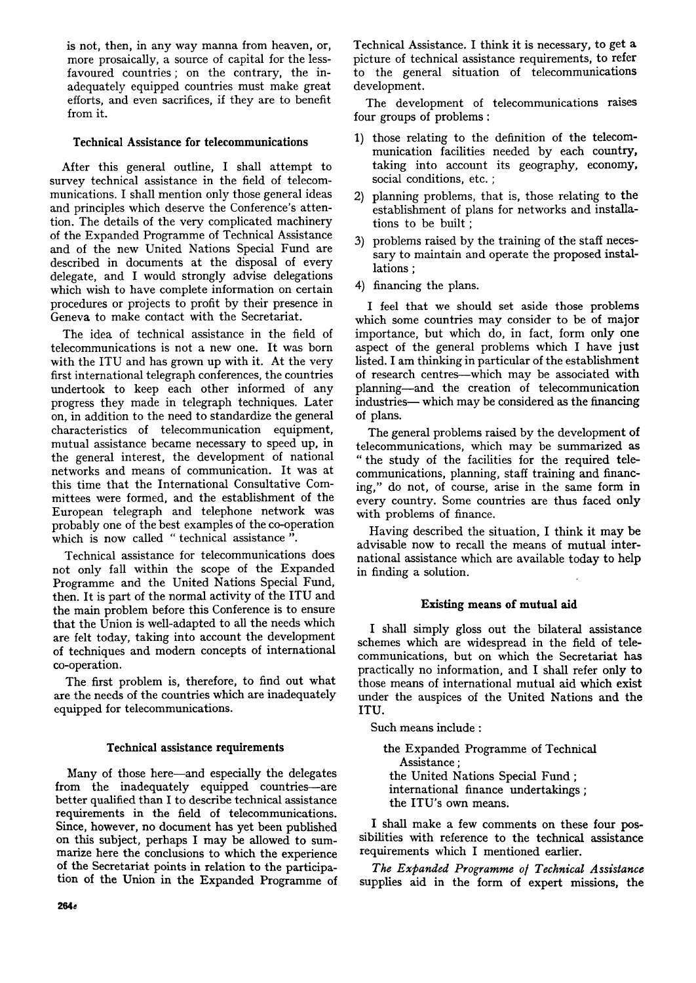is not, then, in any way manna from heaven, or, more prosaically, a source of capital for the lessfavoured countries; on the contrary, the inadequately equipped countries must make great efforts, and even sacrifices, if they are to benefit from it.

# **Technical Assistance for telecommunications**

After this general outline, I shall attempt to survey technical assistance in the field of telecommunications. I shall mention only those general ideas and principles which deserve the Conference's attention. The details of the very complicated machinery of the Expanded Programme of Technical Assistance and of the new United Nations Special Fund are described in documents at the disposal of every delegate, and I would strongly advise delegations which wish to have complete information on certain procedures or projects to profit by their presence in Geneva to make contact with the Secretariat.

The idea of technical assistance in the field of telecommunications is not a new one. It was born with the ITU and has grown up with it. At the very first international telegraph conferences, the countries undertook to keep each other informed of any progress they made in telegraph techniques. Later on, in addition to the need to standardize the general characteristics of telecommunication equipment, mutual assistance became necessary to speed up, in the general interest, the development of national networks and means of communication. It was at this time that the International Consultative Committees were formed, and the establishment of the European telegraph and telephone network was probably one of the best examples of the co-operation which is now called " technical assistance".

Technical assistance for telecommunications does not only fall within the scope of the Expanded Programme and the United Nations Special Fund, then. It is part of the normal activity of the ITU and the main problem before this Conference is to ensure that the Union is well-adapted to all the needs which are felt today, taking into account the development of techniques and modern concepts of international co-operation.

The first problem is, therefore, to find out what are the needs of the countries which are inadequately equipped for telecommunications.

# **Technical assistance requirements**

Many of those here—and especially the delegates from the inadequately equipped countries—are better qualified than I to describe technical assistance requirements in the field of telecommunications. Since, however, no document has yet been published on this subject, perhaps I may be allowed to summarize here the conclusions to which the experience of the Secretariat points in relation to the participation of the Union in the Expanded Programme of Technical Assistance. I think it is necessary, to get **a**  picture of technical assistance requirements, to refer to the general situation of telecommunications development.

The development of telecommunications raises four groups of problems :

- 1) those relating to the definition of the telecommunication facilities needed by each country, taking into account its geography, economy, social conditions, etc.;
- 2) planning problems, that is, those relating to the establishment of plans for networks and installations to be built ;
- 3) problems raised by the training of the staff necessary to maintain and operate the proposed installations ;
- 4) financing the plans.

I feel that we should set aside those problems which some countries may consider to be of major importance, but which do, in fact, form only one aspect of the general problems which I have just listed. I am thinking in particular of the establishment of research centres—which may be associated with planning—and the creation of telecommunication industries— which may be considered as the financing of plans.

The general problems raised by the development of telecommunications, which may be summarized as the study of the facilities for the required telecommunications, planning, staff training and financing," do not, of course, arise in the same form in every country. Some countries are thus faced only with problems of finance.

Having described the situation, I think it may be advisable now to recall the means of mutual international assistance which are available today to help in finding a solution.

# **Existing means of mutual aid**

**I** shall simply gloss out the bilateral assistance schemes which are widespread in the field of telecommunications, but on which the Secretariat has practically no information, and I shall refer only to those means of international mutual aid which exist under the auspices of the United Nations and the ITU.

Such means include :

the Expanded Programme of Technical Assistance; the United Nations Special Fund ; international finance undertakings; the ITU's own means.

I shall make a few comments on these four possibilities with reference to the technical assistance requirements which I mentioned earlier.

*The Expanded Programme of Technical Assistance*  supplies aid in the form of expert missions, the